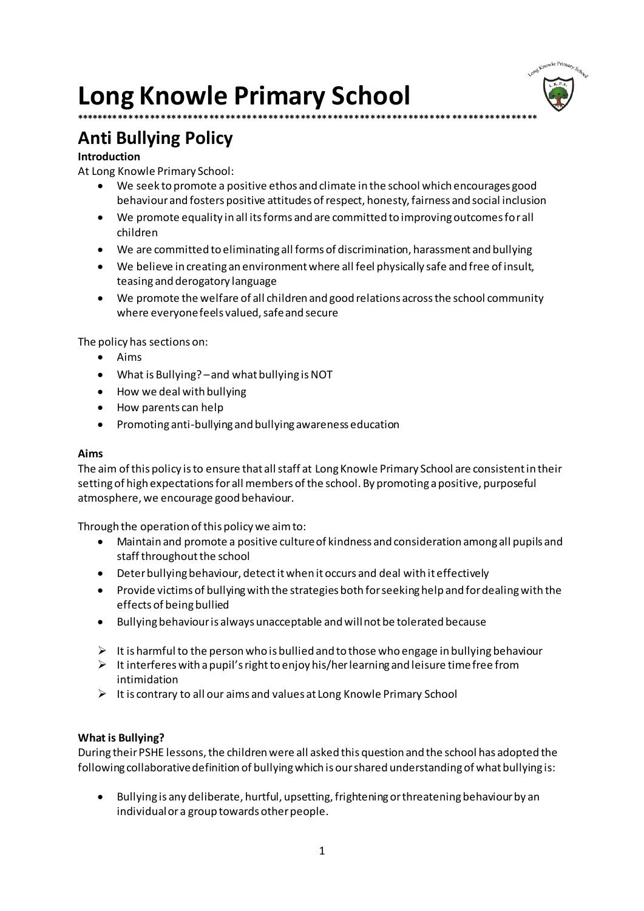# **Long Knowle Primary School**



## **\*\*\*\*\*\*\*\*\*\*\*\*\*\*\*\*\*\*\*\*\*\*\*\*\*\*\*\*\*\*\*\*\*\*\*\*\*\*\*\*\*\*\*\*\*\*\*\*\*\*\*\*\*\*\*\*\*\*\*\*\*\*\*\*\*\*\*\*\*\*\*\*\*\*\*\*\*\*\*\*\*\*\*\*\*\* Anti Bullying Policy**

### **Introduction**

At Long Knowle Primary School:

- We seek to promote a positive ethos and climate in the school which encourages good behaviour and fosters positive attitudes of respect, honesty, fairness and social inclusion
- We promote equality in all its forms and are committed to improving outcomes for all children
- We are committed to eliminating all forms of discrimination, harassment and bullying
- We believe in creating an environment where all feel physically safe and free of insult, teasing and derogatory language
- We promote the welfare of all children and good relations across the school community where everyone feels valued, safe and secure

The policy has sections on:

- Aims
- What is Bullying? –and what bullying is NOT
- How we deal with bullying
- How parents can help
- Promoting anti-bullying and bullying awareness education

#### **Aims**

The aim of this policy is to ensure that all staff at Long Knowle Primary School are consistent in their setting of high expectations for all members of the school. By promoting a positive, purposeful atmosphere, we encourage good behaviour.

Through the operation of this policy we aim to:

- Maintain and promote a positive culture of kindness and consideration among all pupils and staff throughout the school
- Deter bullying behaviour, detect it when it occurs and deal with it effectively
- Provide victims of bullying with the strategies both for seeking help and for dealing with the effects of being bullied
- Bullying behaviour is always unacceptable and will not be tolerated because
- $\triangleright$  It is harmful to the person who is bullied and to those who engage in bullying behaviour
- $\triangleright$  It interferes with a pupil's right to enjoy his/her learning and leisure time free from intimidation
- ➢ It is contrary to all our aims and values at Long Knowle Primary School

#### **What is Bullying?**

During their PSHE lessons, the children were all asked this question and the school has adopted the following collaborative definition of bullying which is our shared understanding of what bullying is:

• Bullying is any deliberate, hurtful, upsetting, frightening or threatening behaviour by an individual or a group towards other people.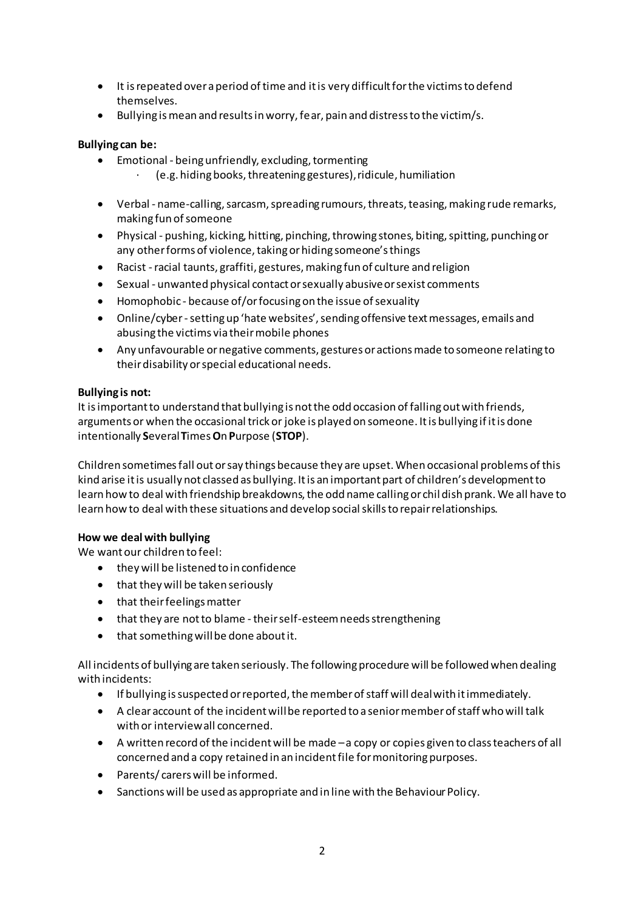- It is repeated over a period of time and it is very difficult for the victims to defend themselves.
- Bullying is mean and results in worry, fear, pain and distress to the victim/s.

#### **Bullying can be:**

- Emotional being unfriendly, excluding, tormenting
	- · (e.g. hiding books, threatening gestures), ridicule, humiliation
- Verbal name-calling, sarcasm, spreading rumours, threats, teasing, making rude remarks, making fun of someone
- Physical pushing, kicking, hitting, pinching, throwing stones, biting, spitting, punching or any other forms of violence, taking or hiding someone's things
- Racist -racial taunts, graffiti, gestures, making fun of culture and religion
- Sexual unwanted physical contact or sexually abusive or sexist comments
- Homophobic because of/or focusing on the issue of sexuality
- Online/cyber -setting up 'hate websites', sending offensive text messages, emails and abusing the victims via their mobile phones
- Any unfavourable or negative comments, gestures or actions made to someone relating to their disability or special educational needs.

#### **Bullying is not:**

It is important to understand that bullying is not the odd occasion of falling out with friends, arguments or when the occasional trick or joke is played on someone. It is bullying if it is done intentionally **S**everal **T**imes **O**n **P**urpose (**STOP**).

Children sometimes fall out or say things because they are upset. When occasional problems of this kind arise it is usually not classed as bullying. It is an important part of children's development to learn how to deal with friendship breakdowns, the odd name calling or childish prank. We all have to learn how to deal with these situations and develop social skills to repair relationships.

#### **How we deal with bullying**

We want our children to feel:

- they will be listened to in confidence
- that they will be taken seriously
- that their feelings matter
- that they are not to blame their self-esteem needs strengthening
- that something will be done about it.

All incidents of bullying are taken seriously. The following procedure will be followed when dealing with incidents:

- If bullying is suspected or reported, the member of staff will deal with it immediately.
- A clear account of the incident will be reported to a senior member of staff who will talk with or interview all concerned.
- A written record of the incident will be made –a copy or copies given to class teachers of all concerned and a copy retained in an incident file for monitoring purposes.
- Parents/ carers will be informed.
- Sanctions will be used as appropriate and in line with the Behaviour Policy.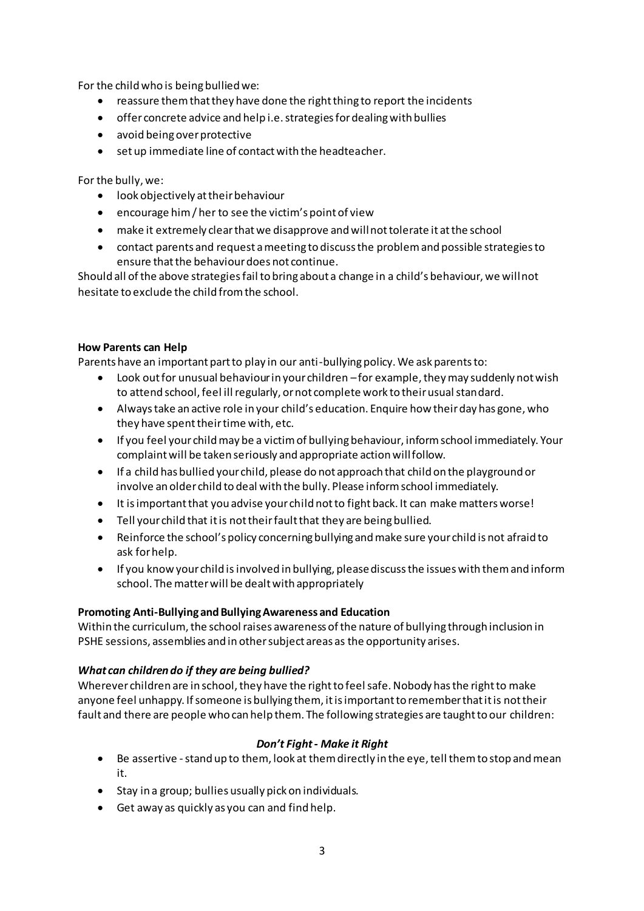For the child who is being bullied we:

- reassure them that they have done the right thing to report the incidents
- offer concrete advice and help i.e. strategies for dealing with bullies
- avoid being over protective
- set up immediate line of contact with the headteacher.

For the bully, we:

- look objectively at their behaviour
- encourage him / her to see the victim's point of view
- make it extremely clear that we disapprove and will not tolerate it at the school
- contact parents and request a meeting to discuss the problem and possible strategies to ensure that the behaviour does not continue.

Should all of the above strategies fail to bring about a change in a child's behaviour, we will not hesitate to exclude the child from the school.

#### **How Parents can Help**

Parents have an important part to play in our anti-bullying policy. We ask parents to:

- Look out for unusual behaviour in your children –for example, they may suddenly not wish to attend school, feel ill regularly, or not complete work to their usual standard.
- Always take an active role in your child's education. Enquire how their day has gone, who they have spent their time with, etc.
- If you feel your child may be a victim of bullying behaviour, inform school immediately. Your complaint will be taken seriously and appropriate action will follow.
- If a child has bullied your child, please do not approach that child on the playground or involve an older child to deal with the bully. Please inform school immediately.
- It is important that you advise your child not to fight back. It can make matters worse!
- Tell your child that it is not their fault that they are being bullied.
- Reinforce the school's policy concerning bullying and make sure your child is not afraid to ask for help.
- If you know your child isinvolved in bullying, please discuss the issues with them and inform school. The matter will be dealt with appropriately

#### **Promoting Anti-Bullying and Bullying Awareness and Education**

Within the curriculum, the school raises awareness of the nature of bullying through inclusion in PSHE sessions, assemblies and in other subject areas as the opportunity arises.

#### *What can children do if they are being bullied?*

Wherever children are in school, they have the right to feel safe. Nobody has the right to make anyone feel unhappy. If someone is bullying them, it is important to remember that it is not their fault and there are people who can help them. The following strategies are taught to our children:

#### *Don't Fight - Make it Right*

- Be assertive stand up to them, look at them directly in the eye, tell them to stop and mean it.
- Stay in a group; bullies usually pick on individuals.
- Get away as quickly as you can and find help.